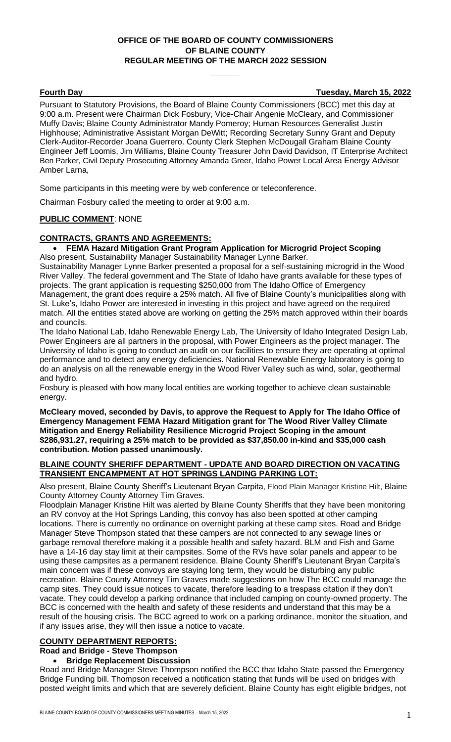# **OFFICE OF THE BOARD OF COUNTY COMMISSIONERS OF BLAINE COUNTY REGULAR MEETING OF THE MARCH 2022 SESSION**

**Fourth Day Tuesday, March 15, 2022**

Pursuant to Statutory Provisions, the Board of Blaine County Commissioners (BCC) met this day at 9:00 a.m. Present were Chairman Dick Fosbury, Vice-Chair Angenie McCleary, and Commissioner Muffy Davis; Blaine County Administrator Mandy Pomeroy; Human Resources Generalist Justin Highhouse; Administrative Assistant Morgan DeWitt; Recording Secretary Sunny Grant and Deputy Clerk-Auditor-Recorder Joana Guerrero. County Clerk Stephen McDougall Graham Blaine County Engineer Jeff Loomis, Jim Williams, Blaine County Treasurer John David Davidson, IT Enterprise Architect Ben Parker, Civil Deputy Prosecuting Attorney Amanda Greer, Idaho Power Local Area Energy Advisor Amber Larna,

Some participants in this meeting were by web conference or teleconference.

Chairman Fosbury called the meeting to order at 9:00 a.m.

## **PUBLIC COMMENT**: NONE

## **CONTRACTS, GRANTS AND AGREEMENTS:**

• **FEMA Hazard Mitigation Grant Program Application for Microgrid Project Scoping** Also present, Sustainability Manager Sustainability Manager Lynne Barker.

Sustainability Manager Lynne Barker presented a proposal for a self-sustaining microgrid in the Wood River Valley. The federal government and The State of Idaho have grants available for these types of projects. The grant application is requesting \$250,000 from The Idaho Office of Emergency Management, the grant does require a 25% match. All five of Blaine County's municipalities along with St. Luke's, Idaho Power are interested in investing in this project and have agreed on the required match. All the entities stated above are working on getting the 25% match approved within their boards and councils.

The Idaho National Lab, Idaho Renewable Energy Lab, The University of Idaho Integrated Design Lab, Power Engineers are all partners in the proposal, with Power Engineers as the project manager. The University of Idaho is going to conduct an audit on our facilities to ensure they are operating at optimal performance and to detect any energy deficiencies. National Renewable Energy laboratory is going to do an analysis on all the renewable energy in the Wood River Valley such as wind, solar, geothermal and hydro.

Fosbury is pleased with how many local entities are working together to achieve clean sustainable energy.

**McCleary moved, seconded by Davis, to approve the Request to Apply for The Idaho Office of Emergency Management FEMA Hazard Mitigation grant for The Wood River Valley Climate Mitigation and Energy Reliability Resilience Microgrid Project Scoping in the amount \$286,931.27, requiring a 25% match to be provided as \$37,850.00 in-kind and \$35,000 cash contribution. Motion passed unanimously.**

## **BLAINE COUNTY SHERIFF DEPARTMENT - UPDATE AND BOARD DIRECTION ON VACATING TRANSIENT ENCAMPMENT AT HOT SPRINGS LANDING PARKING LOT:**

Also present, Blaine County Sheriff's Lieutenant Bryan Carpita, Flood Plain Manager Kristine Hilt, Blaine County Attorney County Attorney Tim Graves.

Floodplain Manager Kristine Hilt was alerted by Blaine County Sheriffs that they have been monitoring an RV convoy at the Hot Springs Landing, this convoy has also been spotted at other camping locations. There is currently no ordinance on overnight parking at these camp sites. Road and Bridge Manager Steve Thompson stated that these campers are not connected to any sewage lines or garbage removal therefore making it a possible health and safety hazard. BLM and Fish and Game have a 14-16 day stay limit at their campsites. Some of the RVs have solar panels and appear to be using these campsites as a permanent residence. Blaine County Sheriff's Lieutenant Bryan Carpita's main concern was if these convoys are staying long term, they would be disturbing any public recreation. Blaine County Attorney Tim Graves made suggestions on how The BCC could manage the camp sites. They could issue notices to vacate, therefore leading to a trespass citation if they don't vacate. They could develop a parking ordinance that included camping on county-owned property. The BCC is concerned with the health and safety of these residents and understand that this may be a result of the housing crisis. The BCC agreed to work on a parking ordinance, monitor the situation, and if any issues arise, they will then issue a notice to vacate.

## **COUNTY DEPARTMENT REPORTS:**

**Road and Bridge - Steve Thompson**

#### • **Bridge Replacement Discussion**

Road and Bridge Manager Steve Thompson notified the BCC that Idaho State passed the Emergency Bridge Funding bill. Thompson received a notification stating that funds will be used on bridges with posted weight limits and which that are severely deficient. Blaine County has eight eligible bridges, not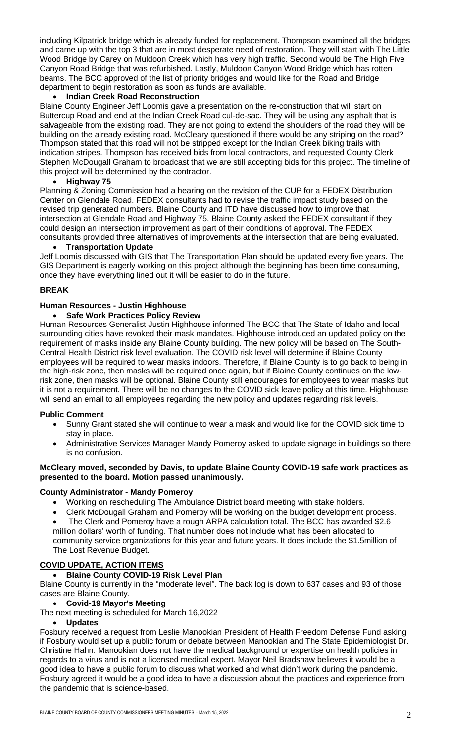including Kilpatrick bridge which is already funded for replacement. Thompson examined all the bridges and came up with the top 3 that are in most desperate need of restoration. They will start with The Little Wood Bridge by Carey on Muldoon Creek which has very high traffic. Second would be The High Five Canyon Road Bridge that was refurbished. Lastly, Muldoon Canyon Wood Bridge which has rotten beams. The BCC approved of the list of priority bridges and would like for the Road and Bridge department to begin restoration as soon as funds are available.

# • **Indian Creek Road Reconstruction**

Blaine County Engineer Jeff Loomis gave a presentation on the re-construction that will start on Buttercup Road and end at the Indian Creek Road cul-de-sac. They will be using any asphalt that is salvageable from the existing road. They are not going to extend the shoulders of the road they will be building on the already existing road. McCleary questioned if there would be any striping on the road? Thompson stated that this road will not be stripped except for the Indian Creek biking trails with indication stripes. Thompson has received bids from local contractors, and requested County Clerk Stephen McDougall Graham to broadcast that we are still accepting bids for this project. The timeline of this project will be determined by the contractor.

# • **Highway 75**

Planning & Zoning Commission had a hearing on the revision of the CUP for a FEDEX Distribution Center on Glendale Road. FEDEX consultants had to revise the traffic impact study based on the revised trip generated numbers. Blaine County and ITD have discussed how to improve that intersection at Glendale Road and Highway 75. Blaine County asked the FEDEX consultant if they could design an intersection improvement as part of their conditions of approval. The FEDEX consultants provided three alternatives of improvements at the intersection that are being evaluated.

## • **Transportation Update**

Jeff Loomis discussed with GIS that The Transportation Plan should be updated every five years. The GIS Department is eagerly working on this project although the beginning has been time consuming, once they have everything lined out it will be easier to do in the future.

## **BREAK**

## **Human Resources - Justin Highhouse**

## • **Safe Work Practices Policy Review**

Human Resources Generalist Justin Highhouse informed The BCC that The State of Idaho and local surrounding cities have revoked their mask mandates. Highhouse introduced an updated policy on the requirement of masks inside any Blaine County building. The new policy will be based on The South-Central Health District risk level evaluation. The COVID risk level will determine if Blaine County employees will be required to wear masks indoors. Therefore, if Blaine County is to go back to being in the high-risk zone, then masks will be required once again, but if Blaine County continues on the lowrisk zone, then masks will be optional. Blaine County still encourages for employees to wear masks but it is not a requirement. There will be no changes to the COVID sick leave policy at this time. Highhouse will send an email to all employees regarding the new policy and updates regarding risk levels.

## **Public Comment**

- Sunny Grant stated she will continue to wear a mask and would like for the COVID sick time to stay in place.
- Administrative Services Manager Mandy Pomeroy asked to update signage in buildings so there is no confusion.

#### **McCleary moved, seconded by Davis, to update Blaine County COVID-19 safe work practices as presented to the board. Motion passed unanimously.**

## **County Administrator - Mandy Pomeroy**

• Working on rescheduling The Ambulance District board meeting with stake holders.

• Clerk McDougall Graham and Pomeroy will be working on the budget development process. • The Clerk and Pomeroy have a rough ARPA calculation total. The BCC has awarded \$2.6 million dollars' worth of funding. That number does not include what has been allocated to community service organizations for this year and future years. It does include the \$1.5million of The Lost Revenue Budget.

# **COVID UPDATE, ACTION ITEMS**

## • **Blaine County COVID-19 Risk Level Plan**

Blaine County is currently in the "moderate level". The back log is down to 637 cases and 93 of those cases are Blaine County.

## • **Covid-19 Mayor's Meeting**

The next meeting is scheduled for March 16,2022

## • **Updates**

Fosbury received a request from Leslie Manookian President of Health Freedom Defense Fund asking if Fosbury would set up a public forum or debate between Manookian and The State Epidemiologist Dr. Christine Hahn. Manookian does not have the medical background or expertise on health policies in regards to a virus and is not a licensed medical expert. Mayor Neil Bradshaw believes it would be a good idea to have a public forum to discuss what worked and what didn't work during the pandemic. Fosbury agreed it would be a good idea to have a discussion about the practices and experience from the pandemic that is science-based.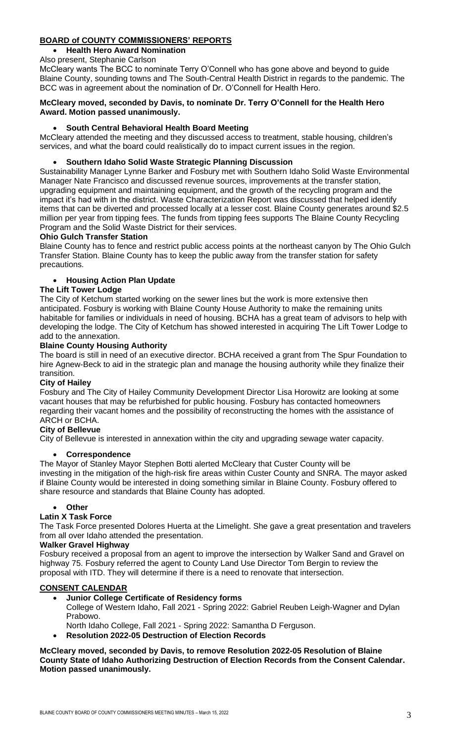# **BOARD of COUNTY COMMISSIONERS' REPORTS**

# • **Health Hero Award Nomination**

Also present, Stephanie Carlson

McCleary wants The BCC to nominate Terry O'Connell who has gone above and beyond to guide Blaine County, sounding towns and The South-Central Health District in regards to the pandemic. The BCC was in agreement about the nomination of Dr. O'Connell for Health Hero.

## **McCleary moved, seconded by Davis, to nominate Dr. Terry O'Connell for the Health Hero Award. Motion passed unanimously.**

# • **South Central Behavioral Health Board Meeting**

McCleary attended the meeting and they discussed access to treatment, stable housing, children's services, and what the board could realistically do to impact current issues in the region.

# • **Southern Idaho Solid Waste Strategic Planning Discussion**

Sustainability Manager Lynne Barker and Fosbury met with Southern Idaho Solid Waste Environmental Manager Nate Francisco and discussed revenue sources, improvements at the transfer station, upgrading equipment and maintaining equipment, and the growth of the recycling program and the impact it's had with in the district. Waste Characterization Report was discussed that helped identify items that can be diverted and processed locally at a lesser cost. Blaine County generates around \$2.5 million per year from tipping fees. The funds from tipping fees supports The Blaine County Recycling Program and the Solid Waste District for their services.

## **Ohio Gulch Transfer Station**

Blaine County has to fence and restrict public access points at the northeast canyon by The Ohio Gulch Transfer Station. Blaine County has to keep the public away from the transfer station for safety precautions.

# • **Housing Action Plan Update**

## **The Lift Tower Lodge**

The City of Ketchum started working on the sewer lines but the work is more extensive then anticipated. Fosbury is working with Blaine County House Authority to make the remaining units habitable for families or individuals in need of housing. BCHA has a great team of advisors to help with developing the lodge. The City of Ketchum has showed interested in acquiring The Lift Tower Lodge to add to the annexation.

## **Blaine County Housing Authority**

The board is still in need of an executive director. BCHA received a grant from The Spur Foundation to hire Agnew-Beck to aid in the strategic plan and manage the housing authority while they finalize their transition.

## **City of Hailey**

Fosbury and The City of Hailey Community Development Director Lisa Horowitz are looking at some vacant houses that may be refurbished for public housing. Fosbury has contacted homeowners regarding their vacant homes and the possibility of reconstructing the homes with the assistance of ARCH or BCHA.

# **City of Bellevue**

City of Bellevue is interested in annexation within the city and upgrading sewage water capacity.

## • **Correspondence**

The Mayor of Stanley Mayor Stephen Botti alerted McCleary that Custer County will be investing in the mitigation of the high-risk fire areas within Custer County and SNRA. The mayor asked if Blaine County would be interested in doing something similar in Blaine County. Fosbury offered to share resource and standards that Blaine County has adopted.

## • **Other**

## **Latin X Task Force**

The Task Force presented Dolores Huerta at the Limelight. She gave a great presentation and travelers from all over Idaho attended the presentation.

#### **Walker Gravel Highway**

Fosbury received a proposal from an agent to improve the intersection by Walker Sand and Gravel on highway 75. Fosbury referred the agent to County Land Use Director Tom Bergin to review the proposal with ITD. They will determine if there is a need to renovate that intersection.

## **CONSENT CALENDAR**

# • **Junior College Certificate of Residency forms**

College of Western Idaho, Fall 2021 - Spring 2022: Gabriel Reuben Leigh-Wagner and Dylan Prabowo.

North Idaho College, Fall 2021 - Spring 2022: Samantha D Ferguson.

• **Resolution 2022-05 Destruction of Election Records**

## **McCleary moved, seconded by Davis, to remove Resolution 2022-05 Resolution of Blaine County State of Idaho Authorizing Destruction of Election Records from the Consent Calendar. Motion passed unanimously.**